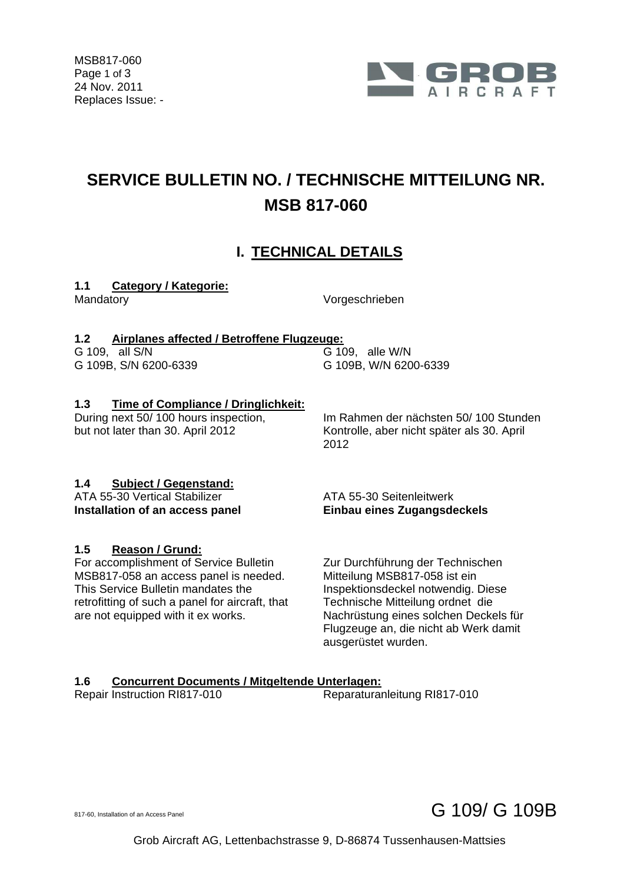

# **SERVICE BULLETIN NO. / TECHNISCHE MITTEILUNG NR. MSB 817-060**

# **I. TECHNICAL DETAILS**

# **1.1 Category / Kategorie:**

Mandatory Vorgeschrieben

# **1.2 Airplanes affected / Betroffene Flugzeuge:**

G 109, all S/N<br>
G 109B, S/N 6200-6339<br>
G 109B, W/N 620

G 109B, W/N 6200-6339

# **1.3 Time of Compliance / Dringlichkeit:**

During next 50/ 100 hours inspection, but not later than 30. April 2012

 Im Rahmen der nächsten 50/ 100 Stunden Kontrolle, aber nicht später als 30. April 2012

# **1.4 Subject / Gegenstand:**

ATA 55-30 Vertical Stabilizer ATA 55-30 Seitenleitwerk

# **1.5 Reason / Grund:**

For accomplishment of Service Bulletin MSB817-058 an access panel is needed. This Service Bulletin mandates the retrofitting of such a panel for aircraft, that are not equipped with it ex works.

**Installation of an access panel Einbau eines Zugangsdeckels** 

 Zur Durchführung der Technischen Mitteilung MSB817-058 ist ein Inspektionsdeckel notwendig. Diese Technische Mitteilung ordnet die Nachrüstung eines solchen Deckels für Flugzeuge an, die nicht ab Werk damit ausgerüstet wurden.

# **1.6 Concurrent Documents / Mitgeltende Unterlagen:**

Repair Instruction RI817-010 Reparaturanleitung RI817-010

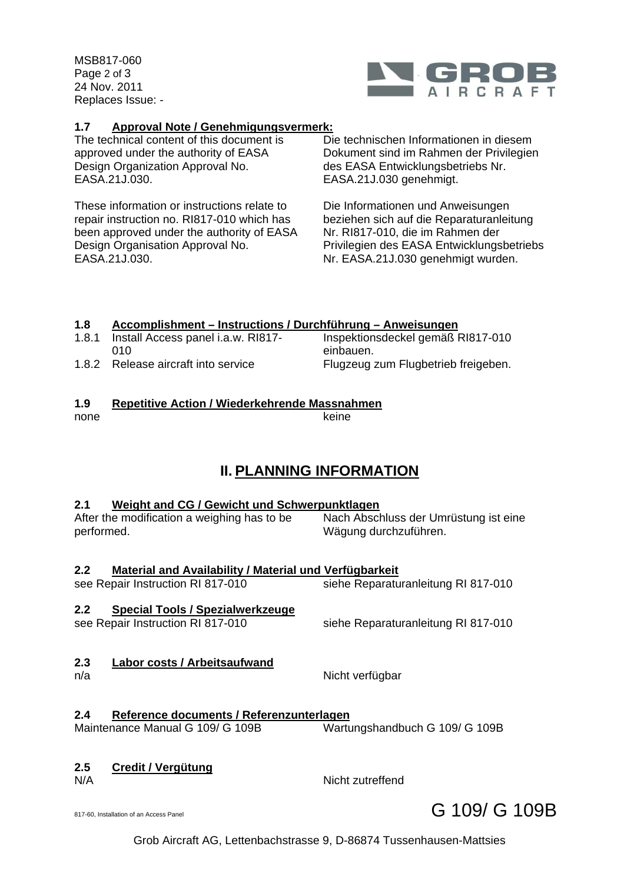MSB817-060 Page 2 of 3 24 Nov. 2011 Replaces Issue: -



#### **1.7 Approval Note / Genehmigungsvermerk:**

The technical content of this document is approved under the authority of EASA Design Organization Approval No. EASA.21J.030.

These information or instructions relate to repair instruction no. RI817-010 which has been approved under the authority of EASA Design Organisation Approval No. EASA.21J.030.

 Die technischen Informationen in diesem Dokument sind im Rahmen der Privilegien des EASA Entwicklungsbetriebs Nr. EASA.21J.030 genehmigt.

 Die Informationen und Anweisungen beziehen sich auf die Reparaturanleitung Nr. RI817-010, die im Rahmen der Privilegien des EASA Entwicklungsbetriebs Nr. EASA.21J.030 genehmigt wurden.

#### **1.8 Accomplishment – Instructions / Durchführung – Anweisungen**

1.8.1 Install Access panel i.a.w. RI817-  $010$  Inspektionsdeckel gemäß RI817-010 einbauen. 1.8.2 Release aircraft into service Flugzeug zum Flugbetrieb freigeben.

### **1.9 Repetitive Action / Wiederkehrende Massnahmen**

none keine keine keine keine keine keine keine keine keine keine keine keine keine keine keine keine keine ke

# **II. PLANNING INFORMATION**

#### **2.1 Weight and CG / Gewicht und Schwerpunktlagen**

After the modification a weighing has to be performed.

 Nach Abschluss der Umrüstung ist eine Wägung durchzuführen.

# **2.2 Material and Availability / Material und Verfügbarkeit**

see Repair Instruction RI 817-010 siehe Reparaturanleitung RI 817-010

# **2.2 Special Tools / Spezialwerkzeuge**

see Repair Instruction RI 817-010 siehe Reparaturanleitung RI 817-010

- **2.3 Labor costs / Arbeitsaufwand** n/a **Nicht verfügbar**
- 

#### **2.4 Reference documents / Referenzunterlagen** Wartungshandbuch G 109/ G 109B

# **2.5 Credit / Vergütung**

N/A Nicht zutreffend

Grob Aircraft AG, Lettenbachstrasse 9, D-86874 Tussenhausen-Mattsies

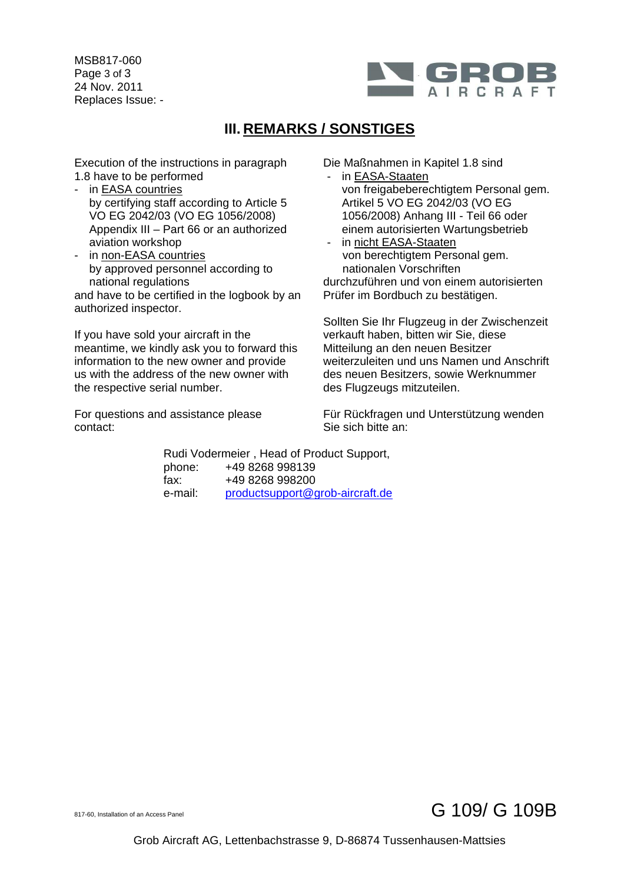MSB817-060 Page 3 of 3 24 Nov. 2011 Replaces Issue: -



# **III. REMARKS / SONSTIGES**

Execution of the instructions in paragraph 1.8 have to be performed

- in EASA countries by certifying staff according to Article 5 VO EG 2042/03 (VO EG 1056/2008) Appendix III – Part 66 or an authorized aviation workshop
- in non-EASA countries by approved personnel according to national regulations

and have to be certified in the logbook by an authorized inspector.

If you have sold your aircraft in the meantime, we kindly ask you to forward this information to the new owner and provide us with the address of the new owner with the respective serial number.

For questions and assistance please contact:

Die Maßnahmen in Kapitel 1.8 sind

- in EASA-Staaten von freigabeberechtigtem Personal gem. Artikel 5 VO EG 2042/03 (VO EG 1056/2008) Anhang III - Teil 66 oder einem autorisierten Wartungsbetrieb
- in nicht EASA-Staaten von berechtigtem Personal gem. nationalen Vorschriften

durchzuführen und von einem autorisierten Prüfer im Bordbuch zu bestätigen.

Sollten Sie Ihr Flugzeug in der Zwischenzeit verkauft haben, bitten wir Sie, diese Mitteilung an den neuen Besitzer weiterzuleiten und uns Namen und Anschrift des neuen Besitzers, sowie Werknummer des Flugzeugs mitzuteilen.

Für Rückfragen und Unterstützung wenden Sie sich bitte an:

 Rudi Vodermeier , Head of Product Support, phone: +49 8268 998139 fax: +49 8268 998200 e-mail: productsupport@grob-aircraft.de

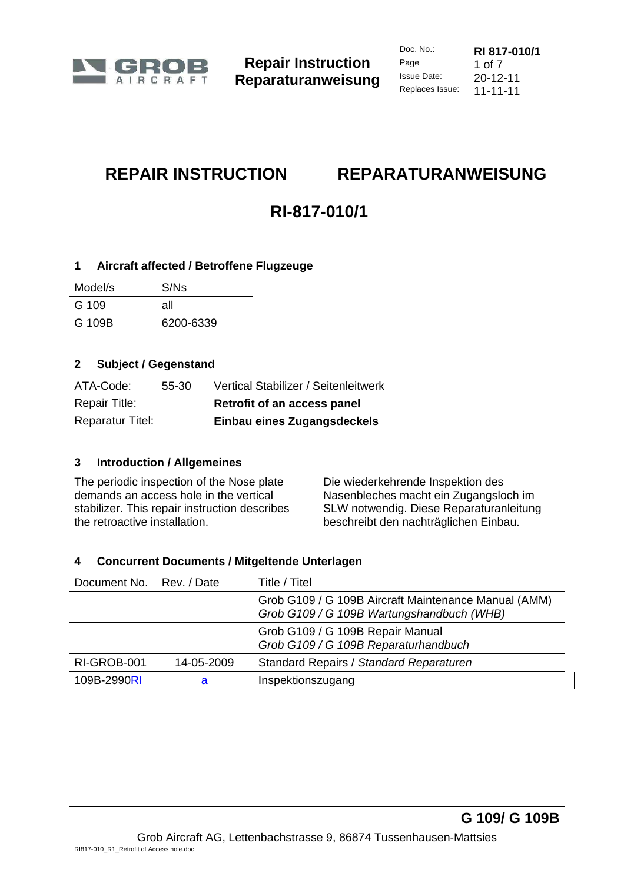

# **REPAIR INSTRUCTION REPARATURANWEISUNG**

# **RI-817-010/1**

### **1 Aircraft affected / Betroffene Flugzeuge**

| Model/s | S/Ns      |
|---------|-----------|
| G 109   | all       |
| G 109B  | 6200-6339 |

### **2 Subject / Gegenstand**

| ATA-Code:               | 55-30 | Vertical Stabilizer / Seitenleitwerk |
|-------------------------|-------|--------------------------------------|
| <b>Repair Title:</b>    |       | Retrofit of an access panel          |
| <b>Reparatur Titel:</b> |       | Einbau eines Zugangsdeckels          |

# **3 Introduction / Allgemeines**

The periodic inspection of the Nose plate demands an access hole in the vertical stabilizer. This repair instruction describes the retroactive installation.

 Die wiederkehrende Inspektion des Nasenbleches macht ein Zugangsloch im SLW notwendig. Diese Reparaturanleitung beschreibt den nachträglichen Einbau.

# **4 Concurrent Documents / Mitgeltende Unterlagen**

| Document No. Rev. / Date |            | Title / Titel                                                                                     |
|--------------------------|------------|---------------------------------------------------------------------------------------------------|
|                          |            | Grob G109 / G 109B Aircraft Maintenance Manual (AMM)<br>Grob G109 / G 109B Wartungshandbuch (WHB) |
|                          |            | Grob G109 / G 109B Repair Manual<br>Grob G109 / G 109B Reparaturhandbuch                          |
| RI-GROB-001              | 14-05-2009 | Standard Repairs / Standard Reparaturen                                                           |
| 109B-2990RI              | a          | Inspektionszugang                                                                                 |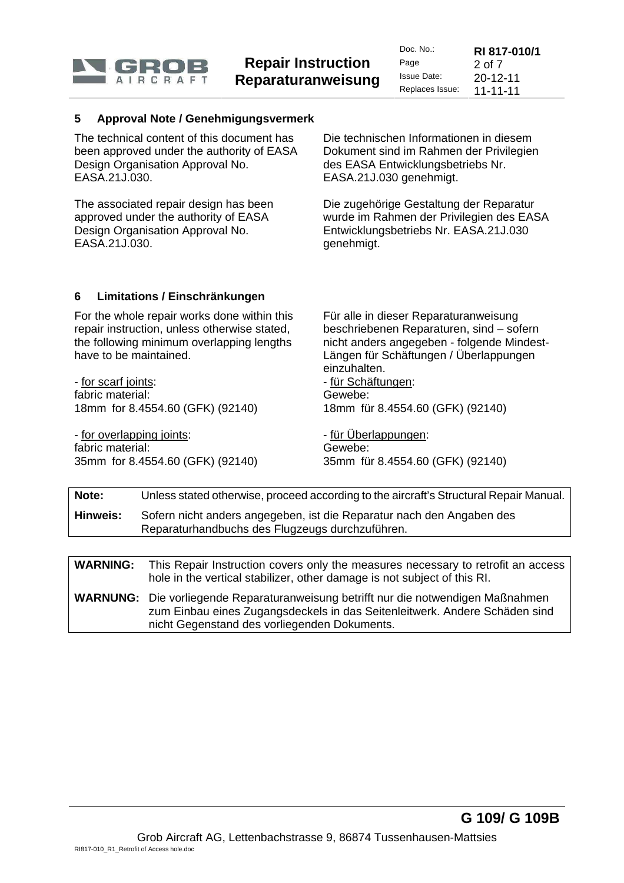

| Doc. $No.$ :    | RI 817-010/1   |
|-----------------|----------------|
| Page            | 2 of $7$       |
| Issue Date:     | $20 - 12 - 11$ |
| Replaces Issue: | $11 - 11 - 11$ |

#### **5 Approval Note / Genehmigungsvermerk**

The technical content of this document has been approved under the authority of EASA Design Organisation Approval No. EASA.21J.030.

The associated repair design has been approved under the authority of EASA Design Organisation Approval No. EASA.21J.030.

 Die technischen Informationen in diesem Dokument sind im Rahmen der Privilegien des EASA Entwicklungsbetriebs Nr. EASA.21J.030 genehmigt.

Die zugehörige Gestaltung der Reparatur wurde im Rahmen der Privilegien des EASA Entwicklungsbetriebs Nr. EASA.21J.030 genehmigt.

#### **6 Limitations / Einschränkungen**

For the whole repair works done within this repair instruction, unless otherwise stated, the following minimum overlapping lengths have to be maintained.

- for scarf joints: fabric material: 18mm for 8.4554.60 (GFK) (92140)

- for overlapping joints: fabric material: 35mm for 8.4554.60 (GFK) (92140)  Für alle in dieser Reparaturanweisung beschriebenen Reparaturen, sind – sofern nicht anders angegeben - folgende Mindest-Längen für Schäftungen / Überlappungen einzuhalten.

- für Schäftungen: Gewebe: 18mm für 8.4554.60 (GFK) (92140)

 - für Überlappungen: Gewebe: 35mm für 8.4554.60 (GFK) (92140)

| Note:    | Unless stated otherwise, proceed according to the aircraft's Structural Repair Manual.                                   |
|----------|--------------------------------------------------------------------------------------------------------------------------|
| Hinweis: | Sofern nicht anders angegeben, ist die Reparatur nach den Angaben des<br>Reparaturhandbuchs des Flugzeugs durchzuführen. |
|          |                                                                                                                          |

**WARNING:** This Repair Instruction covers only the measures necessary to retrofit an access hole in the vertical stabilizer, other damage is not subject of this RI. **WARNUNG:** Die vorliegende Reparaturanweisung betrifft nur die notwendigen Maßnahmen zum Einbau eines Zugangsdeckels in das Seitenleitwerk. Andere Schäden sind nicht Gegenstand des vorliegenden Dokuments.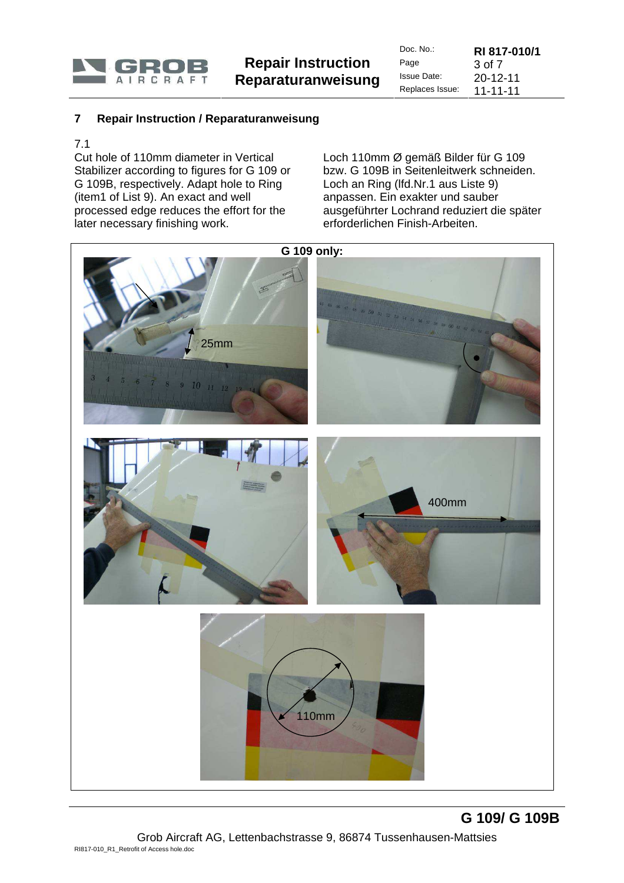

| Doc. $No.$ :    | RI 817-010/1   |
|-----------------|----------------|
| Page            | 3 of 7         |
| Issue Date:     | $20 - 12 - 11$ |
| Replaces Issue: | $11 - 11 - 11$ |

**G 109/ G 109B**

#### **7 Repair Instruction / Reparaturanweisung**

#### 7.1

Cut hole of 110mm diameter in Vertical Stabilizer according to figures for G 109 or G 109B, respectively. Adapt hole to Ring (item1 of List 9). An exact and well processed edge reduces the effort for the later necessary finishing work.

 Loch 110mm Ø gemäß Bilder für G 109 bzw. G 109B in Seitenleitwerk schneiden. Loch an Ring (lfd.Nr.1 aus Liste 9) anpassen. Ein exakter und sauber ausgeführter Lochrand reduziert die später erforderlichen Finish-Arbeiten.



Grob Aircraft AG, Lettenbachstrasse 9, 86874 Tussenhausen-Mattsies RI817-010\_R1\_Retrofit of Access hole.doc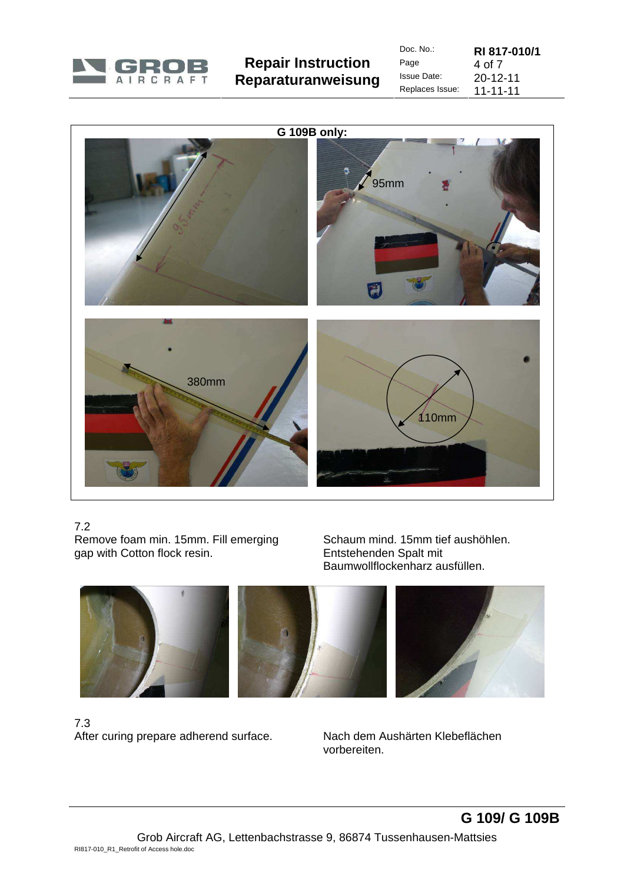

| Doc. No.:       | RI 817-010/1   |
|-----------------|----------------|
| Page            | 4 of 7         |
| Issue Date:     | $20 - 12 - 11$ |
| Replaces Issue: | 11-11-11       |



# 7.2

Remove foam min. 15mm. Fill emerging gap with Cotton flock resin.

 Schaum mind. 15mm tief aushöhlen. Entstehenden Spalt mit Baumwollflockenharz ausfüllen.



### 7.3 After curing prepare adherend surface. Nach dem Aushärten Klebeflächen

vorbereiten.

**G 109/ G 109B**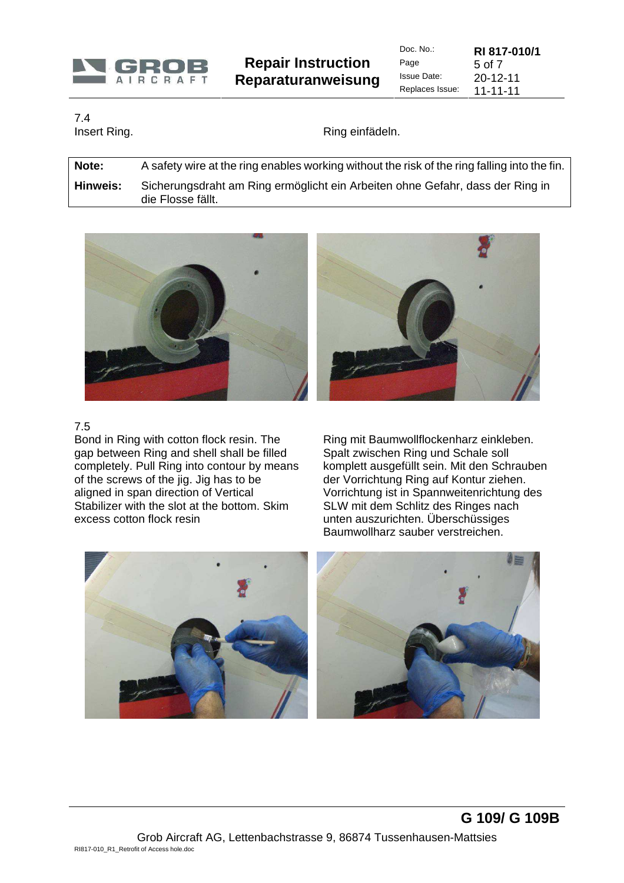

**Repair Instruction Reparaturanweisung**  Doc. No.: **RI 817-010/1**  Page 5 of 7<br>Issue Date: 20-12 **Issue Date:** 20-12-11<br>Replaces Issue: 11-11-11  $11 - 11 - 11$ 

7.4

Insert Ring. Note als and the set of the Ring einfädeln.

**Note:** A safety wire at the ring enables working without the risk of the ring falling into the fin. **Hinweis:** Sicherungsdraht am Ring ermöglicht ein Arbeiten ohne Gefahr, dass der Ring in die Flosse fällt.



7.5

Bond in Ring with cotton flock resin. The gap between Ring and shell shall be filled completely. Pull Ring into contour by means of the screws of the jig. Jig has to be aligned in span direction of Vertical Stabilizer with the slot at the bottom. Skim excess cotton flock resin

 Ring mit Baumwollflockenharz einkleben. Spalt zwischen Ring und Schale soll komplett ausgefüllt sein. Mit den Schrauben der Vorrichtung Ring auf Kontur ziehen. Vorrichtung ist in Spannweitenrichtung des SLW mit dem Schlitz des Ringes nach unten auszurichten. Überschüssiges Baumwollharz sauber verstreichen.

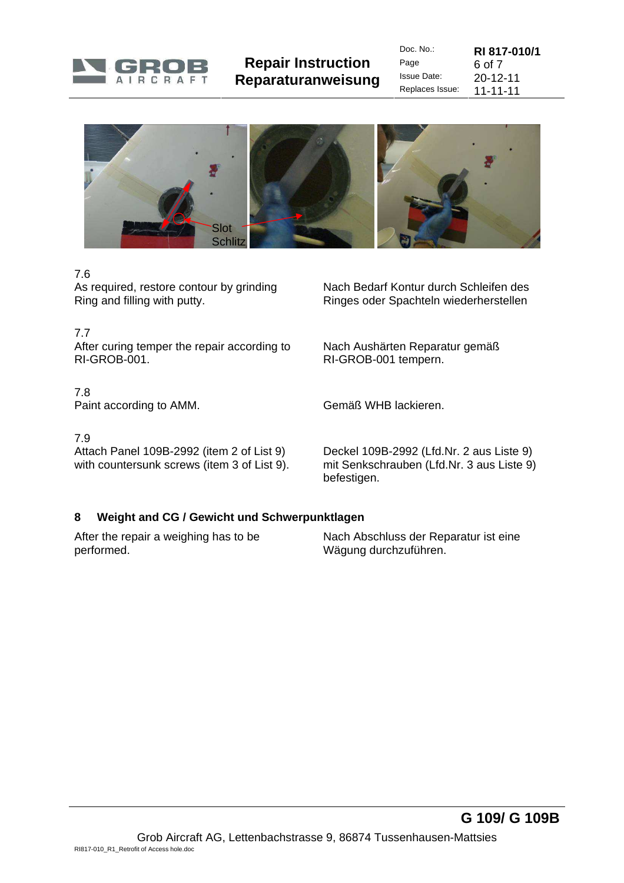

**Repair Instruction Reparaturanweisung** 

| Doc. $No.$ :       | RI 817-010/1  |
|--------------------|---------------|
| Page               | <u>6 იf 7</u> |
| <b>Issue Date:</b> | 20-12-11      |
| Replaces Issue:    | 11-11-11      |



### 7.6

As required, restore contour by grinding Ring and filling with putty.

#### 7.7

After curing temper the repair according to RI-GROB-001.

### 7.8

Paint according to AMM. Gemäß WHB lackieren.

#### 7.9

Attach Panel 109B-2992 (item 2 of List 9) with countersunk screws (item 3 of List 9).  Nach Bedarf Kontur durch Schleifen des Ringes oder Spachteln wiederherstellen

 Nach Aushärten Reparatur gemäß RI-GROB-001 tempern.

 Deckel 109B-2992 (Lfd.Nr. 2 aus Liste 9) mit Senkschrauben (Lfd.Nr. 3 aus Liste 9) befestigen.

# **8 Weight and CG / Gewicht und Schwerpunktlagen**

After the repair a weighing has to be performed.

 Nach Abschluss der Reparatur ist eine Wägung durchzuführen.